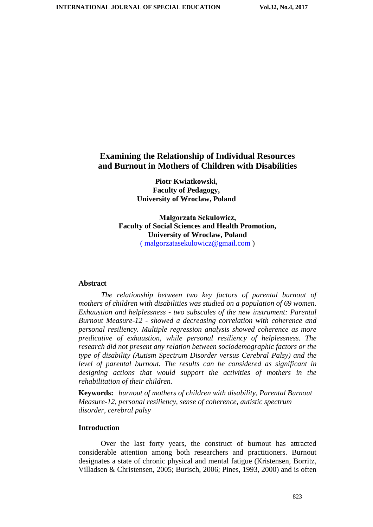# **Examining the Relationship of Individual Resources and Burnout in Mothers of Children with Disabilities**

**Piotr Kwiatkowski, Faculty of Pedagogy, University of Wroclaw, Poland**

**Małgorzata Sekułowicz, Faculty of Social Sciences and Health Promotion, University of Wroclaw, Poland** ( malgorzatasekulowicz@gmail.com )

#### **Abstract**

*The relationship between two key factors of parental burnout of mothers of children with disabilities was studied on a population of 69 women. Exhaustion and helplessness - two subscales of the new instrument: Parental Burnout Measure-12 - showed a decreasing correlation with coherence and personal resiliency. Multiple regression analysis showed coherence as more predicative of exhaustion, while personal resiliency of helplessness. The research did not present any relation between sociodemographic factors or the type of disability (Autism Spectrum Disorder versus Cerebral Palsy) and the*  level of parental burnout. The results can be considered as significant in *designing actions that would support the activities of mothers in the rehabilitation of their children.*

**Keywords:** *burnout of mothers of children with disability, Parental Burnout Measure-12, personal resiliency, sense of coherence, autistic spectrum disorder, cerebral palsy*

### **Introduction**

Over the last forty years, the construct of burnout has attracted considerable attention among both researchers and practitioners. Burnout designates a state of chronic physical and mental fatigue (Kristensen, Borritz, Villadsen & Christensen, 2005; Burisch, 2006; Pines, 1993, 2000) and is often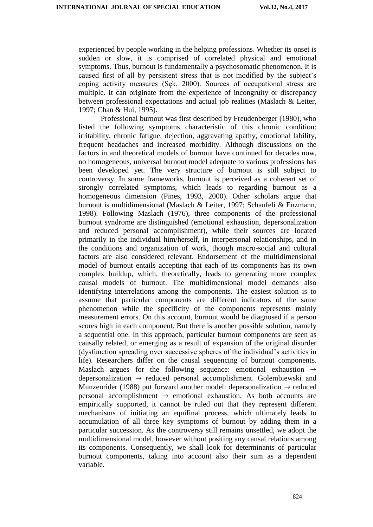experienced by people working in the helping professions. Whether its onset is sudden or slow, it is comprised of correlated physical and emotional symptoms. Thus, burnout is fundamentally a psychosomatic phenomenon. It is caused first of all by persistent stress that is not modified by the subject's coping activity measures (Sęk, 2000). Sources of occupational stress are multiple. It can originate from the experience of incongruity or discrepancy between professional expectations and actual job realities (Maslach & Leiter, 1997; Chan & Hui, 1995).

Professional burnout was first described by Freudenberger (1980), who listed the following symptoms characteristic of this chronic condition: irritability, chronic fatigue, dejection, aggravating apathy, emotional lability, frequent headaches and increased morbidity. Although discussions on the factors in and theoretical models of burnout have continued for decades now, no homogeneous, universal burnout model adequate to various professions has been developed yet. The very structure of burnout is still subject to controversy. In some frameworks, burnout is perceived as a coherent set of strongly correlated symptoms, which leads to regarding burnout as a homogeneous dimension (Pines, 1993, 2000). Other scholars argue that burnout is multidimensional (Maslach & Leiter, 1997; Schaufeli & Enzmann, 1998). Following Maslach (1976), three components of the professional burnout syndrome are distinguished (emotional exhaustion, depersonalization and reduced personal accomplishment), while their sources are located primarily in the individual him/herself, in interpersonal relationships, and in the conditions and organization of work, though macro-social and cultural factors are also considered relevant. Endorsement of the multidimensional model of burnout entails accepting that each of its components has its own complex buildup, which, theoretically, leads to generating more complex causal models of burnout. The multidimensional model demands also identifying interrelations among the components. The easiest solution is to assume that particular components are different indicators of the same phenomenon while the specificity of the components represents mainly measurement errors. On this account, burnout would be diagnosed if a person scores high in each component. But there is another possible solution, namely a sequential one. In this approach, particular burnout components are seen as causally related, or emerging as a result of expansion of the original disorder (dysfunction spreading over successive spheres of the individual's activities in life). Researchers differ on the causal sequencing of burnout components. Maslach argues for the following sequence: emotional exhaustion → depersonalization → reduced personal accomplishment. Golembiewski and Munzenrider (1988) put forward another model: depersonalization  $\rightarrow$  reduced personal accomplishment  $\rightarrow$  emotional exhaustion. As both accounts are empirically supported, it cannot be ruled out that they represent different mechanisms of initiating an equifinal process, which ultimately leads to accumulation of all three key symptoms of burnout by adding them in a particular succession. As the controversy still remains unsettled, we adopt the multidimensional model, however without positing any causal relations among its components. Consequently, we shall look for determinants of particular burnout components, taking into account also their sum as a dependent variable.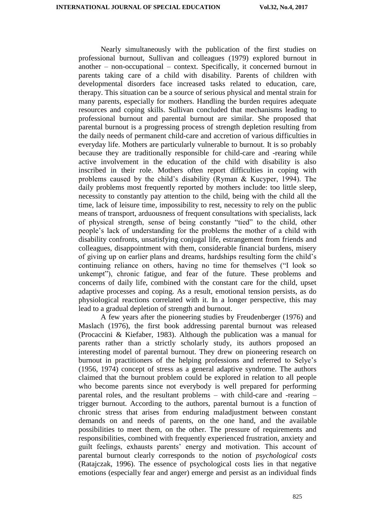Nearly simultaneously with the publication of the first studies on professional burnout, Sullivan and colleagues (1979) explored burnout in another – non-occupational – context. Specifically, it concerned burnout in parents taking care of a child with disability. Parents of children with developmental disorders face increased tasks related to education, care, therapy. This situation can be a source of serious physical and mental strain for many parents, especially for mothers. Handling the burden requires adequate resources and coping skills. Sullivan concluded that mechanisms leading to professional burnout and parental burnout are similar. She proposed that parental burnout is a progressing process of strength depletion resulting from the daily needs of permanent child-care and accretion of various difficulties in everyday life. Mothers are particularly vulnerable to burnout. It is so probably because they are traditionally responsible for child-care and -rearing while active involvement in the education of the child with disability is also inscribed in their role. Mothers often report difficulties in coping with problems caused by the child's disability (Ryman & Kucyper, 1994). The daily problems most frequently reported by mothers include: too little sleep, necessity to constantly pay attention to the child, being with the child all the time, lack of leisure time, impossibility to rest, necessity to rely on the public means of transport, arduousness of frequent consultations with specialists, lack of physical strength, sense of being constantly "tied" to the child, other people's lack of understanding for the problems the mother of a child with disability confronts, unsatisfying conjugal life, estrangement from friends and colleagues, disappointment with them, considerable financial burdens, misery of giving up on earlier plans and dreams, hardships resulting form the child's continuing reliance on others, having no time for themselves ("I look so unkempt"), chronic fatigue, and fear of the future. These problems and concerns of daily life, combined with the constant care for the child, upset adaptive processes and coping. As a result, emotional tension persists, as do physiological reactions correlated with it. In a longer perspective, this may lead to a gradual depletion of strength and burnout.

A few years after the pioneering studies by Freudenberger (1976) and Maslach (1976), the first book addressing parental burnout was released (Procaccini & Kiefaber, 1983). Although the publication was a manual for parents rather than a strictly scholarly study, its authors proposed an interesting model of parental burnout. They drew on pioneering research on burnout in practitioners of the helping professions and referred to Selye's (1956, 1974) concept of stress as a general adaptive syndrome. The authors claimed that the burnout problem could be explored in relation to all people who become parents since not everybody is well prepared for performing parental roles, and the resultant problems – with child-care and -rearing – trigger burnout. According to the authors, parental burnout is a function of chronic stress that arises from enduring maladjustment between constant demands on and needs of parents, on the one hand, and the available possibilities to meet them, on the other. The pressure of requirements and responsibilities, combined with frequently experienced frustration, anxiety and guilt feelings, exhausts parents' energy and motivation. This account of parental burnout clearly corresponds to the notion of *psychological costs* (Ratajczak, 1996). The essence of psychological costs lies in that negative emotions (especially fear and anger) emerge and persist as an individual finds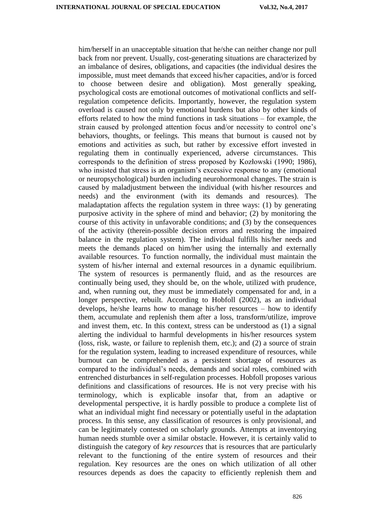him/herself in an unacceptable situation that he/she can neither change nor pull back from nor prevent. Usually, cost-generating situations are characterized by an imbalance of desires, obligations, and capacities (the individual desires the impossible, must meet demands that exceed his/her capacities, and/or is forced to choose between desire and obligation). Most generally speaking, psychological costs are emotional outcomes of motivational conflicts and selfregulation competence deficits. Importantly, however, the regulation system overload is caused not only by emotional burdens but also by other kinds of efforts related to how the mind functions in task situations – for example, the strain caused by prolonged attention focus and/or necessity to control one's behaviors, thoughts, or feelings. This means that burnout is caused not by emotions and activities as such, but rather by excessive effort invested in regulating them in continually experienced, adverse circumstances. This corresponds to the definition of stress proposed by Kozłowski (1990; 1986), who insisted that stress is an organism's excessive response to any (emotional or neuropsychological) burden including neurohormonal changes. The strain is caused by maladjustment between the individual (with his/her resources and needs) and the environment (with its demands and resources). The maladaptation affects the regulation system in three ways: (1) by generating purposive activity in the sphere of mind and behavior; (2) by monitoring the course of this activity in unfavorable conditions; and (3) by the consequences of the activity (therein-possible decision errors and restoring the impaired balance in the regulation system). The individual fulfills his/her needs and meets the demands placed on him/her using the internally and externally available resources. To function normally, the individual must maintain the system of his/her internal and external resources in a dynamic equilibrium. The system of resources is permanently fluid, and as the resources are continually being used, they should be, on the whole, utilized with prudence, and, when running out, they must be immediately compensated for and, in a longer perspective, rebuilt. According to Hobfoll (2002), as an individual develops, he/she learns how to manage his/her resources – how to identify them, accumulate and replenish them after a loss, transform/utilize, improve and invest them, etc. In this context, stress can be understood as (1) a signal alerting the individual to harmful developments in his/her resources system (loss, risk, waste, or failure to replenish them, etc.); and (2) a source of strain for the regulation system, leading to increased expenditure of resources, while burnout can be comprehended as a persistent shortage of resources as compared to the individual's needs, demands and social roles, combined with entrenched disturbances in self-regulation processes. Hobfoll proposes various definitions and classifications of resources. He is not very precise with his terminology, which is explicable insofar that, from an adaptive or developmental perspective, it is hardly possible to produce a complete list of what an individual might find necessary or potentially useful in the adaptation process. In this sense, any classification of resources is only provisional, and can be legitimately contested on scholarly grounds. Attempts at inventorying human needs stumble over a similar obstacle. However, it is certainly valid to distinguish the category of *key resources* that is resources that are particularly relevant to the functioning of the entire system of resources and their regulation. Key resources are the ones on which utilization of all other resources depends as does the capacity to efficiently replenish them and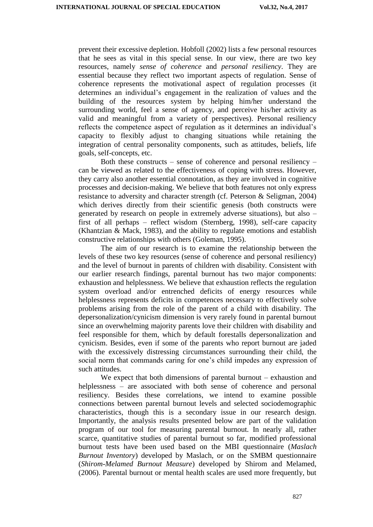prevent their excessive depletion. Hobfoll (2002) lists a few personal resources that he sees as vital in this special sense. In our view, there are two key resources, namely *sense of coherence* and *personal resiliency*. They are essential because they reflect two important aspects of regulation. Sense of coherence represents the motivational aspect of regulation processes (it determines an individual's engagement in the realization of values and the building of the resources system by helping him/her understand the surrounding world, feel a sense of agency, and perceive his/her activity as valid and meaningful from a variety of perspectives). Personal resiliency reflects the competence aspect of regulation as it determines an individual's capacity to flexibly adjust to changing situations while retaining the integration of central personality components, such as attitudes, beliefs, life goals, self-concepts, etc.

Both these constructs – sense of coherence and personal resiliency – can be viewed as related to the effectiveness of coping with stress. However, they carry also another essential connotation, as they are involved in cognitive processes and decision-making. We believe that both features not only express resistance to adversity and character strength (cf. Peterson & Seligman, 2004) which derives directly from their scientific genesis (both constructs were generated by research on people in extremely adverse situations), but also – first of all perhaps – reflect wisdom (Sternberg, 1998), self-care capacity (Khantzian & Mack, 1983), and the ability to regulate emotions and establish constructive relationships with others (Goleman, 1995).

The aim of our research is to examine the relationship between the levels of these two key resources (sense of coherence and personal resiliency) and the level of burnout in parents of children with disability. Consistent with our earlier research findings, parental burnout has two major components: exhaustion and helplessness. We believe that exhaustion reflects the regulation system overload and/or entrenched deficits of energy resources while helplessness represents deficits in competences necessary to effectively solve problems arising from the role of the parent of a child with disability. The depersonalization/cynicism dimension is very rarely found in parental burnout since an overwhelming majority parents love their children with disability and feel responsible for them, which by default forestalls depersonalization and cynicism. Besides, even if some of the parents who report burnout are jaded with the excessively distressing circumstances surrounding their child, the social norm that commands caring for one's child impedes any expression of such attitudes.

We expect that both dimensions of parental burnout – exhaustion and helplessness – are associated with both sense of coherence and personal resiliency. Besides these correlations, we intend to examine possible connections between parental burnout levels and selected sociodemographic characteristics, though this is a secondary issue in our research design. Importantly, the analysis results presented below are part of the validation program of our tool for measuring parental burnout. In nearly all, rather scarce, quantitative studies of parental burnout so far, modified professional burnout tests have been used based on the MBI questionnaire (*Maslach Burnout Inventory*) developed by Maslach, or on the SMBM questionnaire (*Shirom-Melamed Burnout Measure*) developed by Shirom and Melamed, (2006). Parental burnout or mental health scales are used more frequently, but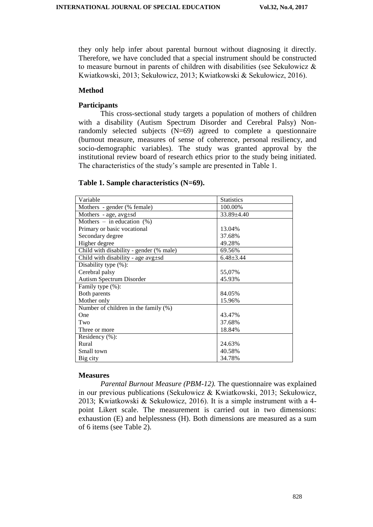they only help infer about parental burnout without diagnosing it directly. Therefore, we have concluded that a special instrument should be constructed to measure burnout in parents of children with disabilities (see Sekułowicz  $\&$ Kwiatkowski, 2013; Sekułowicz, 2013; Kwiatkowski & Sekułowicz, 2016).

## **Method**

# **Participants**

This cross-sectional study targets a population of mothers of children with a disability (Autism Spectrum Disorder and Cerebral Palsy) Nonrandomly selected subjects (N=69) agreed to complete a questionnaire (burnout measure, measures of sense of coherence, personal resiliency, and socio-demographic variables). The study was granted approval by the institutional review board of research ethics prior to the study being initiated. The characteristics of the study's sample are presented in Table 1.

## **Table 1. Sample characteristics (N=69).**

| Variable                                 | <b>Statistics</b> |
|------------------------------------------|-------------------|
| Mothers - gender (% female)              | 100.00%           |
| Mothers - age, $avg \pm sd$              | 33.89±4.40        |
| Mothers – in education $(\%)$            |                   |
| Primary or basic vocational              | 13.04%            |
| Secondary degree                         | 37.68%            |
| Higher degree                            | 49.28%            |
| Child with disability - gender (% male)  | 69.56%            |
| Child with disability - age $avg \pm sd$ | $6.48 \pm 3.44$   |
| Disability type (%):                     |                   |
| Cerebral palsy                           | 55,07%            |
| Autism Spectrum Disorder                 | 45.93%            |
| Family type (%):                         |                   |
| Both parents                             | 84.05%            |
| Mother only                              | 15.96%            |
| Number of children in the family (%)     |                   |
| One                                      | 43.47%            |
| Two                                      | 37.68%            |
| Three or more                            | 18.84%            |
| Residency (%):                           |                   |
| Rural                                    | 24.63%            |
| Small town                               | 40.58%            |
| Big city                                 | 34.78%            |

#### **Measures**

*Parental Burnout Measure (PBM-12).* The questionnaire was explained in our previous publications (Sekułowicz & Kwiatkowski, 2013; Sekułowicz, 2013; Kwiatkowski & Sekułowicz, 2016). It is a simple instrument with a 4 point Likert scale. The measurement is carried out in two dimensions: exhaustion (E) and helplessness (H). Both dimensions are measured as a sum of 6 items (see Table 2).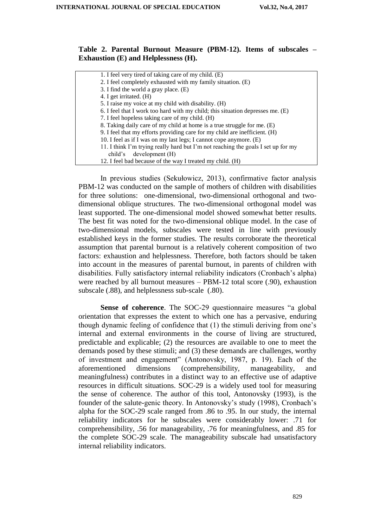# **Table 2. Parental Burnout Measure (PBM-12). Items of subscales – Exhaustion (E) and Helplessness (H).**

| 1. I feel very tired of taking care of my child. (E)                              |
|-----------------------------------------------------------------------------------|
| 2. I feel completely exhausted with my family situation. (E)                      |
| 3. I find the world a gray place. (E)                                             |
| 4. I get irritated. (H)                                                           |
| 5. I raise my voice at my child with disability. (H)                              |
| 6. I feel that I work too hard with my child; this situation depresses me. (E)    |
| 7. I feel hopeless taking care of my child. (H)                                   |
| 8. Taking daily care of my child at home is a true struggle for me. (E)           |
| 9. I feel that my efforts providing care for my child are inefficient. (H)        |
| 10. I feel as if I was on my last legs; I cannot cope anymore. (E)                |
| 11. I think I'm trying really hard but I'm not reaching the goals I set up for my |
| development (H)<br>child's                                                        |
| 12. I feel bad because of the way I treated my child. (H)                         |
|                                                                                   |

In previous studies (Sekułowicz, 2013), confirmative factor analysis PBM-12 was conducted on the sample of mothers of children with disabilities for three solutions: one-dimensional, two-dimensional orthogonal and twodimensional oblique structures. The two-dimensional orthogonal model was least supported. The one-dimensional model showed somewhat better results. The best fit was noted for the two-dimensional oblique model. In the case of two-dimensional models, subscales were tested in line with previously established keys in the former studies. The results corroborate the theoretical assumption that parental burnout is a relatively coherent composition of two factors: exhaustion and helplessness. Therefore, both factors should be taken into account in the measures of parental burnout, in parents of children with disabilities. Fully satisfactory internal reliability indicators (Cronbach's alpha) were reached by all burnout measures – PBM-12 total score (.90), exhaustion subscale (.88), and helplessness sub-scale (.80).

**Sense of coherence**. The SOC-29 questionnaire measures "a global orientation that expresses the extent to which one has a pervasive, enduring though dynamic feeling of confidence that (1) the stimuli deriving from one's internal and external environments in the course of living are structured, predictable and explicable; (2) the resources are available to one to meet the demands posed by these stimuli; and (3) these demands are challenges, worthy of investment and engagement" (Antonovsky, 1987, p. 19). Each of the aforementioned dimensions (comprehensibility, manageability, and meaningfulness) contributes in a distinct way to an effective use of adaptive resources in difficult situations. SOC-29 is a widely used tool for measuring the sense of coherence. The author of this tool, Antonovsky (1993), is the founder of the salute-genic theory. In Antonovsky's study (1998), Cronbach's alpha for the SOC-29 scale ranged from .86 to .95. In our study, the internal reliability indicators for he subscales were considerably lower: .71 for comprehensibility, .56 for manageability, .76 for meaningfulness, and .85 for the complete SOC-29 scale. The manageability subscale had unsatisfactory internal reliability indicators.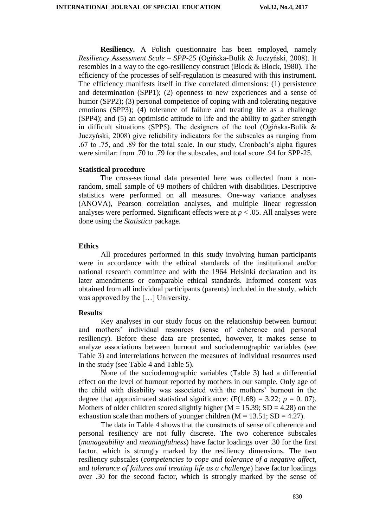**Resiliency.** A Polish questionnaire has been employed, namely *Resiliency Assessment Scale – SPP-25* (Ogińska-Bulik & Juczyński, 2008). It resembles in a way to the ego-resiliency construct (Block & Block, 1980). The efficiency of the processes of self-regulation is measured with this instrument. The efficiency manifests itself in five correlated dimensions: (1) persistence and determination (SPP1); (2) openness to new experiences and a sense of humor (SPP2); (3) personal competence of coping with and tolerating negative emotions (SPP3); (4) tolerance of failure and treating life as a challenge (SPP4); and (5) an optimistic attitude to life and the ability to gather strength in difficult situations (SPP5). The designers of the tool (Ogińska-Bulik  $\&$ Juczyński, 2008) give reliability indicators for the subscales as ranging from .67 to .75, and .89 for the total scale. In our study, Cronbach's alpha figures were similar: from .70 to .79 for the subscales, and total score .94 for SPP-25.

#### **Statistical procedure**

The cross-sectional data presented here was collected from a nonrandom, small sample of 69 mothers of children with disabilities. Descriptive statistics were performed on all measures. One-way variance analyses (ANOVA), Pearson correlation analyses, and multiple linear regression analyses were performed. Significant effects were at  $p < .05$ . All analyses were done using the *Statistica* package.

#### **Ethics**

All procedures performed in this study involving human participants were in accordance with the ethical standards of the institutional and/or national research committee and with the 1964 Helsinki declaration and its later amendments or comparable ethical standards. Informed consent was obtained from all individual participants (parents) included in the study, which was approved by the […] University.

#### **Results**

Key analyses in our study focus on the relationship between burnout and mothers' individual resources (sense of coherence and personal resiliency). Before these data are presented, however, it makes sense to analyze associations between burnout and sociodemographic variables (see Table 3) and interrelations between the measures of individual resources used in the study (see Table 4 and Table 5).

None of the sociodemographic variables (Table 3) had a differential effect on the level of burnout reported by mothers in our sample. Only age of the child with disability was associated with the mothers' burnout in the degree that approximated statistical significance:  $(F(1.68) = 3.22; p = 0.07)$ . Mothers of older children scored slightly higher  $(M = 15.39; SD = 4.28)$  on the exhaustion scale than mothers of younger children  $(M = 13.51; SD = 4.27)$ .

The data in Table 4 shows that the constructs of sense of coherence and personal resiliency are not fully discrete. The two coherence subscales (*manageability* and *meaningfulness*) have factor loadings over .30 for the first factor, which is strongly marked by the resiliency dimensions. The two resiliency subscales (*competencies to cope and tolerance of a negative affect*, and *tolerance of failures and treating life as a challenge*) have factor loadings over .30 for the second factor, which is strongly marked by the sense of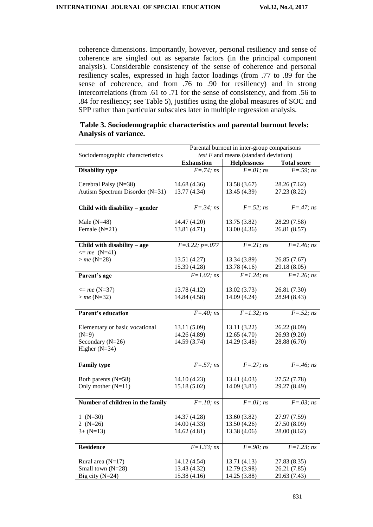coherence dimensions. Importantly, however, personal resiliency and sense of coherence are singled out as separate factors (in the principal component analysis). Considerable consistency of the sense of coherence and personal resiliency scales, expressed in high factor loadings (from .77 to .89 for the sense of coherence, and from .76 to .90 for resiliency) and in strong intercorrelations (from .61 to .71 for the sense of consistency, and from .56 to .84 for resiliency; see Table 5), justifies using the global measures of SOC and SPP rather than particular subscales later in multiple regression analysis.

|                       | Table 3. Sociodemographic characteristics and parental burnout levels: |  |
|-----------------------|------------------------------------------------------------------------|--|
| Analysis of variance. |                                                                        |  |

|                                  | Parental burnout in inter-group comparisons |                                         |                       |  |  |
|----------------------------------|---------------------------------------------|-----------------------------------------|-----------------------|--|--|
| Sociodemographic characteristics |                                             | test $F$ and means (standard deviation) |                       |  |  |
|                                  | <b>Exhaustion</b>                           | <b>Helplessness</b>                     | <b>Total score</b>    |  |  |
| <b>Disability type</b>           | $F = .74; ns$                               | $F=.01; ns$                             | $F = .59; ns$         |  |  |
|                                  |                                             |                                         |                       |  |  |
| Cerebral Palsy (N=38)            | 14.68 (4.36)                                | 13.58(3.67)                             | 28.26 (7.62)          |  |  |
| Autism Spectrum Disorder (N=31)  | 13.77 (4.34)                                | 13.45 (4.39)                            | 27.23 (8.22)          |  |  |
| Child with disability - gender   | $F = .34; ns$                               | $F = .52; ns$                           | $\overline{F=47;}$ ns |  |  |
|                                  |                                             |                                         |                       |  |  |
| Male $(N=48)$                    | 14.47 (4.20)                                | 13.75 (3.82)                            | 28.29 (7.58)          |  |  |
| Female $(N=21)$                  | 13.81 (4.71)                                | 13.00(4.36)                             | 26.81 (8.57)          |  |  |
|                                  |                                             |                                         |                       |  |  |
| Child with disability - age      | $F=3.22; p=.077$                            | $F=.21; ns$                             | $F = 1.46; ns$        |  |  |
| $\leq$ me (N=41)                 |                                             |                                         |                       |  |  |
| $>$ <i>me</i> (N=28)             | 13.51 (4.27)                                | 13.34 (3.89)                            | 26.85 (7.67)          |  |  |
|                                  | 15.39 (4.28)                                | 13.78 (4.16)                            | 29.18 (8.05)          |  |  |
| Parent's age                     | $F = 1.02; ns$                              | $F = 1.24$ ; ns                         | $F = 1.26; ns$        |  |  |
|                                  |                                             |                                         |                       |  |  |
| $\leq$ me (N=37)                 | 13.78 (4.12)                                | 13.02(3.73)                             | 26.81 (7.30)          |  |  |
| $>$ <i>me</i> (N=32)             | 14.84 (4.58)                                | 14.09 (4.24)                            | 28.94 (8.43)          |  |  |
|                                  |                                             |                                         |                       |  |  |
| <b>Parent's education</b>        | $F = .40; ns$                               | $F=1.32; ns$                            | $F = .52; ns$         |  |  |
| Elementary or basic vocational   | 13.11 (5.09)                                | 13.11(3.22)                             | 26.22 (8.09)          |  |  |
| $(N=9)$                          | 14.26 (4.89)                                | 12.65(4.70)                             | 26.93 (9.20)          |  |  |
| Secondary (N=26)                 | 14.59 (3.74)                                | 14.29 (3.48)                            | 28.88 (6.70)          |  |  |
| Higher $(N=34)$                  |                                             |                                         |                       |  |  |
|                                  |                                             |                                         |                       |  |  |
| <b>Family type</b>               | $F = .57; ns$                               | $F = 0.27; ns$                          | $F = .46; ns$         |  |  |
|                                  |                                             |                                         |                       |  |  |
| Both parents $(N=58)$            | 14.10(4.23)                                 | 13.41 (4.03)                            | 27.52 (7.78)          |  |  |
| Only mother $(N=11)$             | 15.18(5.02)                                 | 14.09 (3.81)                            | 29.27 (8.49)          |  |  |
|                                  |                                             |                                         |                       |  |  |
| Number of children in the family | $F = .10; ns$                               | $F=.01; ns$                             | $F=.03; ns$           |  |  |
| 1 $(N=30)$                       | 14.37 (4.28)                                | 13.60 (3.82)                            | 27.97 (7.59)          |  |  |
| 2 $(N=26)$                       | 14.00 (4.33)                                | 13.50 (4.26)                            | 27.50 (8.09)          |  |  |
| $3 + (N=13)$                     | 14.62 (4.81)                                | 13.38 (4.06)                            | 28.00 (8.62)          |  |  |
|                                  |                                             |                                         |                       |  |  |
| <b>Residence</b>                 | $F = 1.33; ns$                              | $F = .90; ns$                           | $F = 1.23; ns$        |  |  |
|                                  |                                             |                                         |                       |  |  |
| Rural area $(N=17)$              | 14.12 (4.54)                                | 13.71(4.13)                             | 27.83 (8.35)          |  |  |
| Small town (N=28)                | 13.43 (4.32)                                | 12.79 (3.98)                            | 26.21 (7.85)          |  |  |
| Big city $(N=24)$                | 15.38 (4.16)                                | 14.25 (3.88)                            | 29.63 (7.43)          |  |  |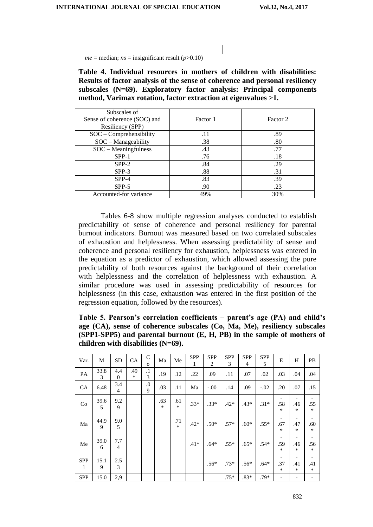| <i>me</i> = median; <i>ns</i> = insignificant result ( $p > 0.10$ ) |  |  |
|---------------------------------------------------------------------|--|--|

**Table 4. Individual resources in mothers of children with disabilities: Results of factor analysis of the sense of coherence and personal resiliency subscales (N=69). Exploratory factor analysis: Principal components method, Varimax rotation, factor extraction at eigenvalues >1.**

| Subscales of<br>Sense of coherence (SOC) and | Factor 1 | Factor 2 |
|----------------------------------------------|----------|----------|
| Resiliency (SPP)                             |          |          |
| SOC - Comprehensibility                      | .11      | .89      |
| SOC - Manageability                          | .38      | .80      |
| $SOC - Meaningfulness$                       | .43      | .77      |
| $SPP-1$                                      | .76      | .18      |
| $SPP-2$                                      | .84      | .29      |
| $SPP-3$                                      | .88      | .31      |
| $SPP-4$                                      | .83      | .39      |
| $SPP-5$                                      | .90      | .23      |
| Accounted-for variance                       | 49%      | 30%      |

Tables 6-8 show multiple regression analyses conducted to establish predictability of sense of coherence and personal resiliency for parental burnout indicators. Burnout was measured based on two correlated subscales of exhaustion and helplessness. When assessing predictability of sense and coherence and personal resiliency for exhaustion, helplessness was entered in the equation as a predictor of exhaustion, which allowed assessing the pure predictability of both resources against the background of their correlation with helplessness and the correlation of helplessness with exhaustion. A similar procedure was used in assessing predictability of resources for helplessness (in this case, exhaustion was entered in the first position of the regression equation, followed by the resources).

**Table 5. Pearson's correlation coefficients – parent's age (PA) and child's age (CA), sense of coherence subscales (Co, Ma, Me), resiliency subscales (SPP1-SPP5) and parental burnout (E, H, PB) in the sample of mothers of children with disabilities (N=69).**

| Var.            | M         | <b>SD</b>             | CA       | $\mathsf{C}$<br>$\Omega$ | Ma            | Me            | <b>SPP</b><br>1 | <b>SPP</b><br>$\overline{2}$ | <b>SPP</b><br>3 | <b>SPP</b><br>4 | <b>SPP</b><br>5 | E                        | H                                    | PB                                            |
|-----------------|-----------|-----------------------|----------|--------------------------|---------------|---------------|-----------------|------------------------------|-----------------|-----------------|-----------------|--------------------------|--------------------------------------|-----------------------------------------------|
| PA              | 33.8<br>3 | 4.4<br>$\Omega$       | .49<br>* | $\cdot$<br>3             | .19           | .12           | .22             | .09                          | .11             | .07             | .02             | .03                      | .04                                  | .04                                           |
| <b>CA</b>       | 6.48      | 3.4<br>$\overline{4}$ |          | $\cdot$<br>9             | .03           | .11           | Ma              | $-.00.$                      | .14             | .09             | $-.02$          | .20                      | .07                                  | .15                                           |
| Co              | 39.6<br>5 | 9.2<br>9              |          |                          | .63<br>$\ast$ | .61<br>$\ast$ | $.33*$          | $.33*$                       | $.42*$          | $.43*$          | $.31*$          | .58<br>$\ast$            | .46<br>*                             | .55<br>$\ast$                                 |
| Ma              | 44.9<br>9 | 9.0<br>5              |          |                          |               | .71<br>$\ast$ | $.42*$          | $.50*$                       | $.57*$          | $.60*$          | $.55*$          | .67<br>$\ast$            | $\overline{\phantom{a}}$<br>.47<br>* | .60<br>$\ast$                                 |
| Me              | 39.0<br>6 | 7.7<br>$\overline{4}$ |          |                          |               |               | $.41*$          | $.64*$                       | $.55*$          | $.65*$          | $.54*$          | .59<br>$\ast$            | .46<br>*                             | $\qquad \qquad \blacksquare$<br>.56<br>$\ast$ |
| <b>SPP</b><br>1 | 15.1<br>9 | 2.5<br>3              |          |                          |               |               |                 | $.56*$                       | $.73*$          | $.56*$          | $.64*$          | .37<br>$\ast$            | .41<br>*                             | -<br>.41<br>$\ast$                            |
| <b>SPP</b>      | 15.0      | 2,9                   |          |                          |               |               |                 |                              | $.75*$          | $.83*$          | .79*            | $\overline{\phantom{a}}$ | $\overline{\phantom{a}}$             |                                               |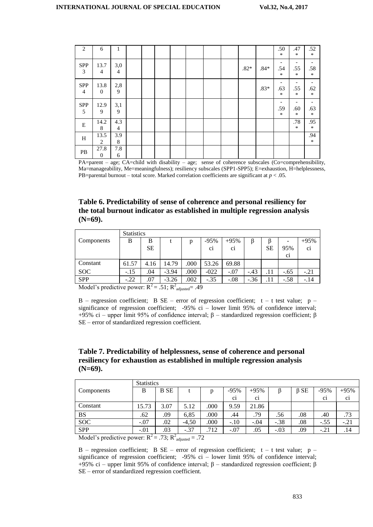| 2                            | 6                      | 1                     |  |  |  |        |        | .50<br>$\ast$                             | .47<br>$\ast$                        | .52<br>$\ast$                             |
|------------------------------|------------------------|-----------------------|--|--|--|--------|--------|-------------------------------------------|--------------------------------------|-------------------------------------------|
| <b>SPP</b><br>3              | 13.7<br>$\overline{4}$ | 3,0<br>$\overline{4}$ |  |  |  | $.82*$ | $.84*$ | .54<br>$\ast$                             | .55<br>$\ast$                        | .58<br>$\ast$                             |
| <b>SPP</b><br>$\overline{4}$ | 13.8<br>$\theta$       | $2,8$<br>9            |  |  |  |        | $.83*$ | .63<br>$\ast$                             | $\overline{\phantom{a}}$<br>.55<br>* | $\overline{\phantom{a}}$<br>.62<br>$\ast$ |
| <b>SPP</b><br>5              | 12.9<br>9              | 3,1<br>9              |  |  |  |        |        | $\overline{\phantom{a}}$<br>.59<br>$\ast$ | $\overline{\phantom{a}}$<br>.60<br>* | -<br>.63<br>$\ast$                        |
| E                            | 14.2<br>8              | 4.3<br>$\overline{4}$ |  |  |  |        |        |                                           | .78<br>$\ast$                        | .95<br>$\ast$                             |
| H                            | 13.5<br>2              | 3.9<br>8              |  |  |  |        |        |                                           |                                      | .94<br>$\ast$                             |
| PB                           | 27.8<br>$\mathbf{0}$   | 7.8<br>6              |  |  |  |        |        |                                           |                                      |                                           |

PA=parent – age; CA=child with disability – age; sense of coherence subscales (Co=comprehensibility, Ma=manageability, Me=meaningfulness); resiliency subscales (SPP1-SPP5); E=exhaustion, H=helplessness, PB=parental burnout – total score. Marked correlation coefficients are significant at  $p < .05$ .

**Table 6. Predictability of sense of coherence and personal resiliency for the total burnout indicator as established in multiple regression analysis (N=69).**

|            | <b>Statistics</b> |                       |                          |      |                |                |        |           |                |                |
|------------|-------------------|-----------------------|--------------------------|------|----------------|----------------|--------|-----------|----------------|----------------|
| Components | B                 | B                     |                          | D    | $-95%$         | $+95%$         |        |           |                | $+95%$         |
|            |                   | <b>SE</b>             |                          |      | C <sub>1</sub> | C <sub>1</sub> |        | <b>SE</b> | 95%            | C <sub>1</sub> |
|            |                   |                       |                          |      |                |                |        |           | C <sub>1</sub> |                |
| Constant   | 61.57             | 4.16                  | 14.79                    | .000 | 53.26          | 69.88          |        |           |                |                |
| <b>SOC</b> | $-.15$            | .04                   | $-3.94$                  | .000 | $-022$         | $-.07$         | $-.43$ | .11       | $-.65$         | $-.21$         |
| <b>SPP</b> | $-.22$            | .07<br>$\overline{ }$ | $-3.26$<br>$\rightarrow$ | .002 | $-.35$         | $-.08$         | $-.36$ |           | $-.58$         | $-.14$         |

Model's predictive power:  $R^2 = .51$ ;  $R^2$ <sub>adjusted</sub>= .49

B – regression coefficient; B SE – error of regression coefficient;  $t - t$  test value;  $p - t$ significance of regression coefficient; -95% ci – lower limit 95% of confidence interval; +95% ci – upper limit 95% of confidence interval; β – standardized regression coefficient; β SE – error of standardized regression coefficient.

## **Table 7. Predictability of helplessness, sense of coherence and personal resiliency for exhaustion as established in multiple regression analysis (N=69).**

|                                             | <b>Statistics</b> |                       |         |                |                |                |        |            |                |                |  |  |  |
|---------------------------------------------|-------------------|-----------------------|---------|----------------|----------------|----------------|--------|------------|----------------|----------------|--|--|--|
| Components                                  | В                 | <b>B</b> SE           |         | p              | $-95%$         | $+95%$         |        | $\beta$ SE | $-95%$         | $+95%$         |  |  |  |
|                                             |                   |                       |         |                | C <sub>1</sub> | C <sub>1</sub> |        |            | C <sub>1</sub> | $\overline{c}$ |  |  |  |
| Constant                                    | 15.73             | 3.07                  | 5.12    | .000           | 9.59           | 21.86          |        |            |                |                |  |  |  |
| BS                                          | .62               | .09                   | 6,85    | .000           | .44            | .79            | .56    | .08        | .40            | .73            |  |  |  |
| <b>SOC</b>                                  | $-.07$            | $.02\,$               | $-4,50$ | .000           | $-.10$         | $-.04$         | $-.38$ | .08        | $-.55$         | $-.21$         |  |  |  |
| <b>SPP</b>                                  | $-.01$            | .03                   | $-.37$  | .712           | $-.07$         | .05            | $-.03$ | .09        | $-.21$         | .14            |  |  |  |
| $M = 1.12$ and $1.11$ and $1.11$ and $1.11$ |                   | $72. \; \mathrm{m}^2$ |         | $\overline{a}$ |                |                |        |            |                |                |  |  |  |

Model's predictive power:  $R^2 = .73$ ;  $R^2$ <sub>adjusted</sub> = .72

B – regression coefficient; B SE – error of regression coefficient;  $t - t$  test value;  $p$ significance of regression coefficient; -95% ci – lower limit 95% of confidence interval; +95% ci – upper limit 95% of confidence interval; β – standardized regression coefficient; β SE – error of standardized regression coefficient.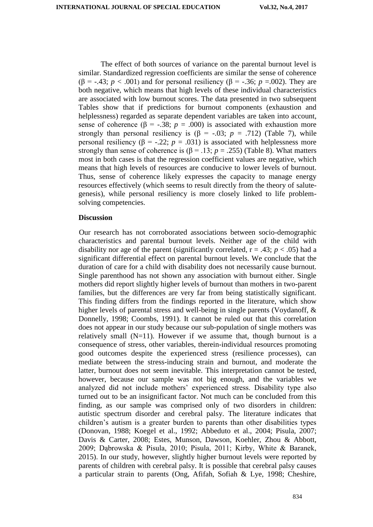The effect of both sources of variance on the parental burnout level is similar. Standardized regression coefficients are similar the sense of coherence ( $\beta$  = -.43; *p* < .001) and for personal resiliency ( $\beta$  = -.36; *p* =.002). They are both negative, which means that high levels of these individual characteristics are associated with low burnout scores. The data presented in two subsequent Tables show that if predictions for burnout components (exhaustion and helplessness) regarded as separate dependent variables are taken into account, sense of coherence ( $\beta$  = -.38; *p* = .000) is associated with exhaustion more strongly than personal resiliency is  $(\beta = -.03; p = .712)$  (Table 7), while personal resiliency (β = -.22;  $p = .031$ ) is associated with helplessness more strongly than sense of coherence is ( $\beta$  = .13; *p* = .255) (Table 8). What matters most in both cases is that the regression coefficient values are negative, which means that high levels of resources are conducive to lower levels of burnout. Thus, sense of coherence likely expresses the capacity to manage energy resources effectively (which seems to result directly from the theory of salutegenesis), while personal resiliency is more closely linked to life problemsolving competencies.

# **Discussion**

Our research has not corroborated associations between socio-demographic characteristics and parental burnout levels. Neither age of the child with disability nor age of the parent (significantly correlated,  $r = .43$ ;  $p < .05$ ) had a significant differential effect on parental burnout levels. We conclude that the duration of care for a child with disability does not necessarily cause burnout. Single parenthood has not shown any association with burnout either. Single mothers did report slightly higher levels of burnout than mothers in two-parent families, but the differences are very far from being statistically significant. This finding differs from the findings reported in the literature, which show higher levels of parental stress and well-being in single parents (Voydanoff, & Donnelly, 1998; Coombs, 1991). It cannot be ruled out that this correlation does not appear in our study because our sub-population of single mothers was relatively small  $(N=11)$ . However if we assume that, though burnout is a consequence of stress, other variables, therein-individual resources promoting good outcomes despite the experienced stress (resilience processes), can mediate between the stress-inducing strain and burnout, and moderate the latter, burnout does not seem inevitable. This interpretation cannot be tested, however, because our sample was not big enough, and the variables we analyzed did not include mothers' experienced stress. Disability type also turned out to be an insignificant factor. Not much can be concluded from this finding, as our sample was comprised only of two disorders in children: autistic spectrum disorder and cerebral palsy. The literature indicates that children's autism is a greater burden to parents than other disabilities types (Donovan, 1988; Koegel et al., 1992; Abbeduto et al., 2004; Pisula, 2007; Davis & Carter, 2008; Estes, Munson, Dawson, Koehler, Zhou & Abbott, 2009; Dąbrowska & Pisula, 2010; Pisula, 2011; Kirby, White & Baranek, 2015). In our study, however, slightly higher burnout levels were reported by parents of children with cerebral palsy. It is possible that cerebral palsy causes a particular strain to parents (Ong, Afifah, Sofiah & Lye, 1998; Cheshire,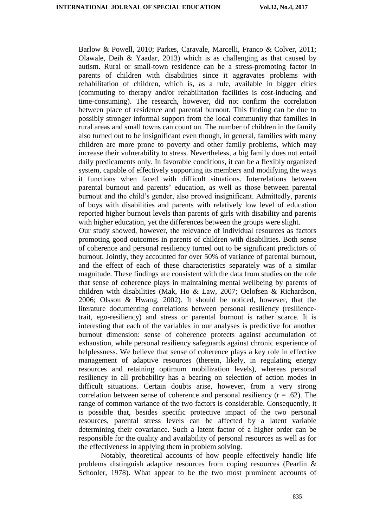Barlow & Powell, 2010; Parkes, Caravale, Marcelli, Franco & Colver, 2011; Olawale, Deih & Yaadar, 2013) which is as challenging as that caused by autism. Rural or small-town residence can be a stress-promoting factor in parents of children with disabilities since it aggravates problems with rehabilitation of children, which is, as a rule, available in bigger cities (commuting to therapy and/or rehabilitation facilities is cost-inducing and time-consuming). The research, however, did not confirm the correlation between place of residence and parental burnout. This finding can be due to possibly stronger informal support from the local community that families in rural areas and small towns can count on. The number of children in the family also turned out to be insignificant even though, in general, families with many children are more prone to poverty and other family problems, which may increase their vulnerability to stress. Nevertheless, a big family does not entail daily predicaments only. In favorable conditions, it can be a flexibly organized system, capable of effectively supporting its members and modifying the ways it functions when faced with difficult situations. Interrelations between parental burnout and parents' education, as well as those between parental burnout and the child's gender, also proved insignificant. Admittedly, parents of boys with disabilities and parents with relatively low level of education reported higher burnout levels than parents of girls with disability and parents with higher education, yet the differences between the groups were slight.

Our study showed, however, the relevance of individual resources as factors promoting good outcomes in parents of children with disabilities. Both sense of coherence and personal resiliency turned out to be significant predictors of burnout. Jointly, they accounted for over 50% of variance of parental burnout, and the effect of each of these characteristics separately was of a similar magnitude. These findings are consistent with the data from studies on the role that sense of coherence plays in maintaining mental wellbeing by parents of children with disabilities (Mak, Ho & Law, 2007; Oelofsen & Richardson, 2006; Olsson & Hwang, 2002). It should be noticed, however, that the literature documenting correlations between personal resiliency (resiliencetrait, ego-resiliency) and stress or parental burnout is rather scarce. It is interesting that each of the variables in our analyses is predictive for another burnout dimension: sense of coherence protects against accumulation of exhaustion, while personal resiliency safeguards against chronic experience of helplessness. We believe that sense of coherence plays a key role in effective management of adaptive resources (therein, likely, in regulating energy resources and retaining optimum mobilization levels), whereas personal resiliency in all probability has a bearing on selection of action modes in difficult situations. Certain doubts arise, however, from a very strong correlation between sense of coherence and personal resiliency  $(r = .62)$ . The range of common variance of the two factors is considerable. Consequently, it is possible that, besides specific protective impact of the two personal resources, parental stress levels can be affected by a latent variable determining their covariance. Such a latent factor of a higher order can be responsible for the quality and availability of personal resources as well as for the effectiveness in applying them in problem solving.

Notably, theoretical accounts of how people effectively handle life problems distinguish adaptive resources from coping resources (Pearlin & Schooler, 1978). What appear to be the two most prominent accounts of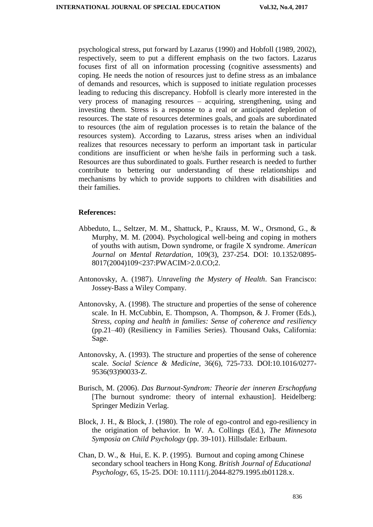psychological stress, put forward by Lazarus (1990) and Hobfoll (1989, 2002), respectively, seem to put a different emphasis on the two factors. Lazarus focuses first of all on information processing (cognitive assessments) and coping. He needs the notion of resources just to define stress as an imbalance of demands and resources, which is supposed to initiate regulation processes leading to reducing this discrepancy. Hobfoll is clearly more interested in the very process of managing resources – acquiring, strengthening, using and investing them. Stress is a response to a real or anticipated depletion of resources. The state of resources determines goals, and goals are subordinated to resources (the aim of regulation processes is to retain the balance of the resources system). According to Lazarus, stress arises when an individual realizes that resources necessary to perform an important task in particular conditions are insufficient or when he/she fails in performing such a task. Resources are thus subordinated to goals. Further research is needed to further contribute to bettering our understanding of these relationships and mechanisms by which to provide supports to children with disabilities and their families.

#### **References:**

- Abbeduto, L., Seltzer, M. M., Shattuck, P., Krauss, M. W., Orsmond, G., & Murphy, M. M. (2004). Psychological well-being and coping in mothers of youths with autism, Down syndrome, or fragile X syndrome. *American Journal on Mental Retardation*, 109(3), 237-254. DOI: 10.1352/0895- 8017(2004)109<237:PWACIM>2.0.CO;2.
- Antonovsky, A. (1987). *Unraveling the Mystery of Health*. San Francisco: Jossey-Bass a Wiley Company.
- Antonovsky, A. (1998). The structure and properties of the sense of coherence scale. In H. McCubbin, E. Thompson, A. Thompson, & J. Fromer (Eds.), *Stress, coping and health in families: Sense of coherence and resiliency* (pp.21–40) (Resiliency in Families Series). Thousand Oaks, California: Sage.
- Antonovsky, A. (1993). The structure and properties of the sense of coherence scale. *Social Science & Medicine*, 36(6), 725-733. DOI:10.1016/0277- 9536(93)90033-Z.
- Burisch, M. (2006). *Das Burnout-Syndrom: Theorie der inneren Erschopfung*  [The burnout syndrome: theory of internal exhaustion]. Heidelberg: Springer Medizin Verlag.
- Block, J. H., & Block, J. (1980). The role of ego-control and ego-resiliency in the origination of behavior. In W. A. Collings (Ed.), *The Minnesota Symposia on Child Psychology* (pp. 39-101). Hillsdale: Erlbaum.
- Chan, D. W., & Hui, E. K. P. (1995). Burnout and coping among Chinese secondary school teachers in Hong Kong. *British Journal of Educational Psychology*, 65, 15-25. DOI: 10.1111/j.2044-8279.1995.tb01128.x.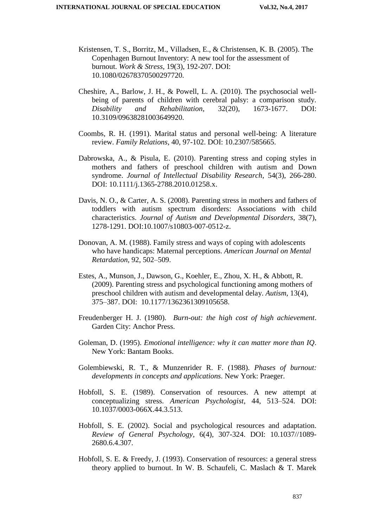- Kristensen, T. S., Borritz, M., Villadsen, E., & Christensen, K. B. (2005). The Copenhagen Burnout Inventory: A new tool for the assessment of burnout. *Work & Stress,* 19(3), 192-207. DOI: 10.1080/02678370500297720.
- Cheshire, A., Barlow, J. H., & Powell, L. A. (2010). The psychosocial wellbeing of parents of children with cerebral palsy: a comparison study. *Disability and Rehabilitation*, 32(20), 1673-1677. DOI: 10.3109/09638281003649920.
- Coombs, R. H. (1991). Marital status and personal well-being: A literature review. *Family Relations*, 40, 97-102. DOI: 10.2307/585665.
- Dabrowska, A., & Pisula, E. (2010). Parenting stress and coping styles in mothers and fathers of preschool children with autism and Down syndrome. *Journal of Intellectual Disability Research*, 54(3), 266-280. DOI: 10.1111/j.1365-2788.2010.01258.x.
- Davis, N. O., & Carter, A. S. (2008). Parenting stress in mothers and fathers of toddlers with autism spectrum disorders: Associations with child characteristics. *Journal of Autism and Developmental Disorders*, 38(7), 1278-1291. DOI:10.1007/s10803-007-0512-z.
- Donovan, A. M. (1988). Family stress and ways of coping with adolescents who have handicaps: Maternal perceptions. *American Journal on Mental Retardation,* 92, 502–509.
- Estes, A., Munson, J., Dawson, G., Koehler, E., Zhou, X. H., & Abbott, R. (2009). Parenting stress and psychological functioning among mothers of preschool children with autism and developmental delay. *Autism*, 13(4), 375–387. DOI: 10.1177/1362361309105658.
- Freudenberger H. J. (1980). *Burn-out: the high cost of high achievement*. Garden City: Anchor Press.
- Goleman, D. (1995). *Emotional intelligence: why it can matter more than IQ*. New York: Bantam Books.
- Golembiewski, R. T., & Munzenrider R. F. (1988). *Phases of burnout: developments in concepts and applications*. New York: Praeger.
- Hobfoll, S. E. (1989). Conservation of resources. A new attempt at conceptualizing stress. *American Psychologist*, 44, 513–524. DOI: 10.1037/0003-066X.44.3.513.
- Hobfoll, S. E. (2002). Social and psychological resources and adaptation. *Review of General Psychology*, 6(4), 307-324. DOI: 10.1037//1089- 2680.6.4.307.
- Hobfoll, S. E. & Freedy, J. (1993). Conservation of resources: a general stress theory applied to burnout. In W. B. Schaufeli, C. Maslach & T. Marek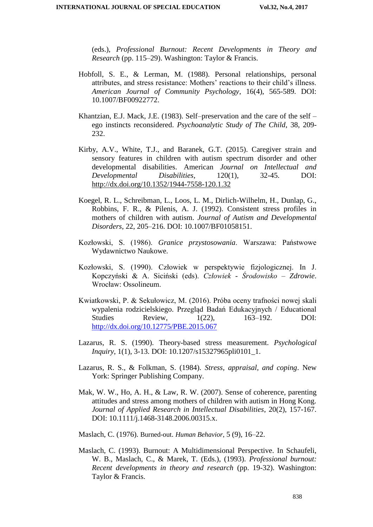(eds.), *Professional Burnout: Recent Developments in Theory and Research* (pp. 115–29). Washington: Taylor & Francis.

- Hobfoll, S. E., & Lerman, M. (1988). Personal relationships, personal attributes, and stress resistance: Mothers' reactions to their child's illness. *American Journal of Community Psychology*, 16(4), 565-589. DOI: 10.1007/BF00922772.
- Khantzian, E.J. Mack, J.E. (1983). Self–preservation and the care of the self ego instincts reconsidered. *Psychoanalytic Study of The Child*, 38, 209- 232.
- Kirby, A.V., White, T.J., and Baranek, G.T. (2015). Caregiver strain and sensory features in children with autism spectrum disorder and other developmental disabilities. American *Journal on Intellectual and Developmental Disabilities*, 120(1), 32-45. DOI: http://dx.doi.org/10.1352/1944-7558-120.1.32
- Koegel, R. L., Schreibman, L., Loos, L. M., Dirlich-Wilhelm, H., Dunlap, G., Robbins, F. R., & Pilenis, A. J. (1992). Consistent stress profiles in mothers of children with autism. *Journal of Autism and Developmental Disorders*, 22, 205–216. DOI: 10.1007/BF01058151.
- Kozłowski, S. (1986). *Granice przystosowania*. Warszawa: Państwowe Wydawnictwo Naukowe.
- Kozłowski, S. (1990). Człowiek w perspektywie fizjologicznej. In J. Kopczyński & A. Siciński (eds). *Człowiek - Środowisko – Zdrowie*. Wrocław: Ossolineum.
- Kwiatkowski, P. & Sekułowicz, M. (2016). Próba oceny trafności nowej skali wypalenia rodzicielskiego. Przegląd Badań Edukacyjnych / Educational Studies Review,  $1(22)$ ,  $163-192$ . DOI: http://dx.doi.org/10.12775/PBE.2015.067
- Lazarus, R. S. (1990). Theory-based stress measurement. *Psychological Inquiry*, 1(1), 3-13. DOI: 10.1207/s15327965pli0101\_1.
- Lazarus, R. S., & Folkman, S. (1984). *Stress, appraisal, and coping*. New York: Springer Publishing Company.
- Mak, W. W., Ho, A. H., & Law, R. W. (2007). Sense of coherence, parenting attitudes and stress among mothers of children with autism in Hong Kong. *Journal of Applied Research in Intellectual Disabilities*, 20(2), 157-167. DOI: 10.1111/j.1468-3148.2006.00315.x.

Maslach, C. (1976). Burned-out. *Human Behavior*, 5 (9)*,* 16*–*22.

Maslach, C. (1993). Burnout: A Multidimensional Perspective. In Schaufeli, W. B., Maslach, C., & Marek, T. (Eds.), (1993). *Professional burnout: Recent developments in theory and research* (pp. 19-32). Washington: Taylor & Francis.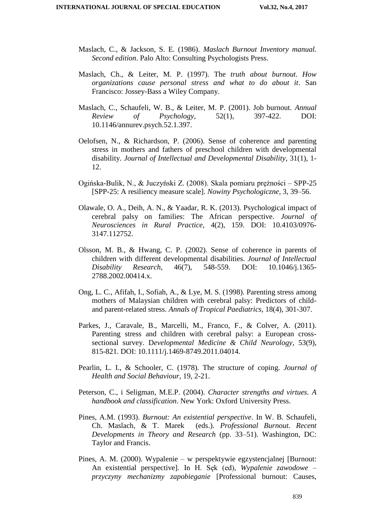- Maslach, C., & Jackson, S. E. (1986). *Maslach Burnout Inventory manual. Second edition*. Palo Alto: Consulting Psychologists Press.
- Maslach, Ch., & Leiter, M. P. (1997). The *truth about burnout. How organizations cause personal stress and what to do about it*. San Francisco: Jossey-Bass a Wiley Company.
- Maslach, C., Schaufeli, W. B., & Leiter, M. P. (2001). Job burnout. *Annual Review of Psychology*, 52(1), 397-422. DOI: 10.1146/annurev.psych.52.1.397.
- Oelofsen, N., & Richardson, P. (2006). Sense of coherence and parenting stress in mothers and fathers of preschool children with developmental disability. *Journal of Intellectual and Developmental Disability*, 31(1), 1- 12.
- Ogińska-Bulik, N., & Juczyński Z. (2008). Skala pomiaru prężności SPP-25 [SPP-25: A resiliency measure scale]. *Nowiny Psychologiczne*, 3, 39–56.
- Olawale, O. A., Deih, A. N., & Yaadar, R. K. (2013). Psychological impact of cerebral palsy on families: The African perspective. *Journal of Neurosciences in Rural Practice*, 4(2), 159. DOI: 10.4103/0976- 3147.112752.
- Olsson, M. B., & Hwang, C. P. (2002). Sense of coherence in parents of children with different developmental disabilities. *Journal of Intellectual Disability Research,* 46(7), 548-559. DOI: 10.1046/j.1365- 2788.2002.00414.x.
- Ong, L. C., Afifah, I., Sofiah, A., & Lye, M. S. (1998). Parenting stress among mothers of Malaysian children with cerebral palsy: Predictors of childand parent-related stress. *Annals of Tropical Paediatrics*, 18(4), 301-307.
- Parkes, J., Caravale, B., Marcelli, M., Franco, F., & Colver, A. (2011). Parenting stress and children with cerebral palsy: a European crosssectional survey. D*evelopmental Medicine & Child Neurology*, 53(9), 815-821. DOI: 10.1111/j.1469-8749.2011.04014.
- Pearlin, L. I., & Schooler, C. (1978). The structure of coping. *Journal of Health and Social Behaviour*, 19, 2-21.
- Peterson, C., i Seligman, M.E.P. (2004). *Character strengths and virtues. A handbook and classification*. New York: Oxford University Press.
- Pines, A.M. (1993). *Burnout: An existential perspective*. In W. B. Schaufeli, Ch. Maslach, & T. Marek (eds.). *Professional Burnout. Recent Developments in Theory and Research* (pp. 33–51). Washington, DC: Taylor and Francis.
- Pines, A. M. (2000). Wypalenie w perspektywie egzystencjalnej [Burnout: An existential perspective]*.* In H. Sęk (ed), *Wypalenie zawodowe – przyczyny mechanizmy zapobieganie* [Professional burnout: Causes,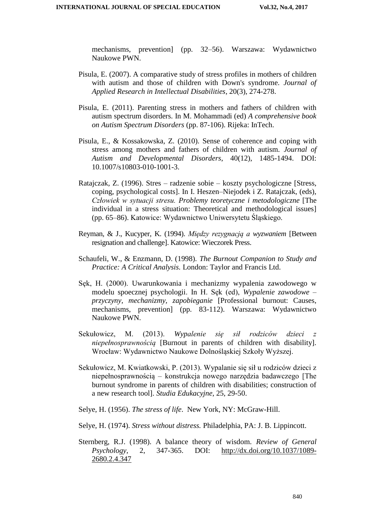mechanisms, prevention] (pp. 32–56). Warszawa: Wydawnictwo Naukowe PWN.

- Pisula, E. (2007). A comparative study of stress profiles in mothers of children with autism and those of children with Down's syndrome. *Journal of Applied Research in Intellectual Disabilities*, 20(3), 274-278.
- Pisula, E. (2011). Parenting stress in mothers and fathers of children with autism spectrum disorders. In M. Mohammadi (ed) *A comprehensive book on Autism Spectrum Disorders* (pp. 87-106). Rijeka: InTech.
- Pisula, E., & Kossakowska, Z. (2010). Sense of coherence and coping with stress among mothers and fathers of children with autism. *Journal of Autism and Developmental Disorders*, 40(12), 1485-1494. DOI: 10.1007/s10803-010-1001-3.
- Ratajczak, Z. (1996). Stres radzenie sobie koszty psychologiczne [Stress, coping, psychological costs]. In I. Heszen–Niejodek i Z. Ratajczak, (eds), *Człowiek w sytuacji stresu. Problemy teoretyczne i metodologiczne* [The individual in a stress situation: Theoretical and methodological issues] (pp. 65–86). Katowice: Wydawnictwo Uniwersytetu Śląskiego.
- Reyman, & J., Kucyper, K. (1994). *Między rezygnacją a wyzwaniem* [Between resignation and challenge]. Katowice: Wieczorek Press.
- Schaufeli, W., & Enzmann, D. (1998). *The Burnout Companion to Study and Practice: A Critical Analysis.* London: Taylor and Francis Ltd.
- Sęk, H. (2000). Uwarunkowania i mechanizmy wypalenia zawodowego w modelu spoecznej psychologii. In H. Sęk (ed), *Wypalenie zawodowe – przyczyny, mechanizmy, zapobieganie* [Professional burnout: Causes, mechanisms, prevention] (pp. 83-112). Warszawa: Wydawnictwo Naukowe PWN.
- Sekułowicz, M. (2013). *Wypalenie się sił rodziców dzieci z niepełnosprawnością* [Burnout in parents of children with disability]. Wrocław: Wydawnictwo Naukowe Dolnośląskiej Szkoły Wyższej.
- Sekułowicz, M. Kwiatkowski, P. (2013). Wypalanie się sił u rodziców dzieci z niepełnosprawnością – konstrukcja nowego narzędzia badawczego [The burnout syndrome in parents of children with disabilities; construction of a new research tool]. *Studia Edukacyjne*, 25, 29-50.
- Selye, H. (1956). *The stress of life*. New York, NY: McGraw-Hill.
- Selye, H. (1974). *Stress without distress.* Philadelphia, PA: J. B. Lippincott.
- Sternberg, R.J. (1998). A balance theory of wisdom. *Review of General Psychology*, 2, 347-365. DOI: http://dx.doi.org/10.1037/1089- 2680.2.4.347